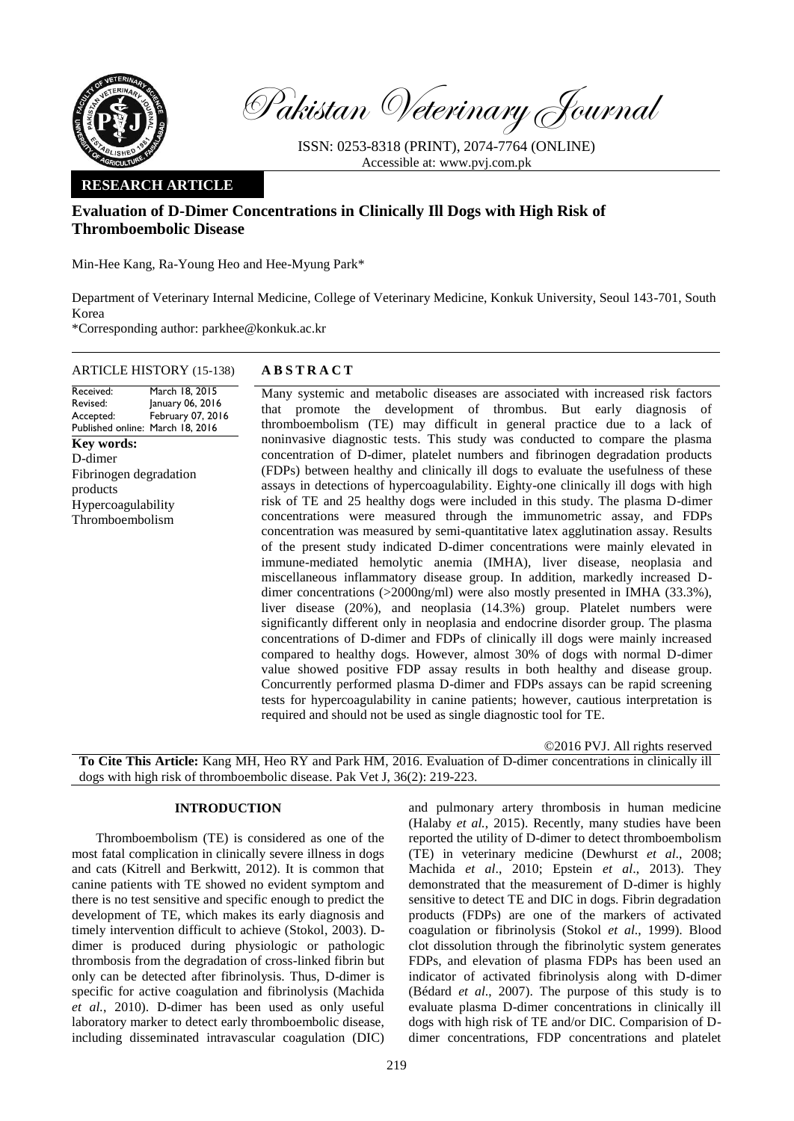

Pakistan Veterinary Journal

ISSN: 0253-8318 (PRINT), 2074-7764 (ONLINE) Accessible at: [www.pvj.com.pk](http://www.pvj.com.pk/)

### **RESEARCH ARTICLE**

# **Evaluation of D-Dimer Concentrations in Clinically Ill Dogs with High Risk of Thromboembolic Disease**

Min-Hee Kang, Ra-Young Heo and Hee-Myung Park\*

Department of Veterinary Internal Medicine, College of Veterinary Medicine, Konkuk University, Seoul 143-701, South Korea

\*Corresponding author: parkhee@konkuk.ac.kr

## ARTICLE HISTORY (15-138) **A B S T R A C T**

Received: Revised: Accepted: Published online: March 18, 2016 March 18, 2015 January 06, 2016 February 07, 2016 **Key words:**  D-dimer Fibrinogen degradation products Hypercoagulability Thromboembolism

Many systemic and metabolic diseases are associated with increased risk factors that promote the development of thrombus. But early diagnosis of thromboembolism (TE) may difficult in general practice due to a lack of noninvasive diagnostic tests. This study was conducted to compare the plasma concentration of D-dimer, platelet numbers and fibrinogen degradation products (FDPs) between healthy and clinically ill dogs to evaluate the usefulness of these assays in detections of hypercoagulability. Eighty-one clinically ill dogs with high risk of TE and 25 healthy dogs were included in this study. The plasma D-dimer concentrations were measured through the immunometric assay, and FDPs concentration was measured by semi-quantitative latex agglutination assay. Results of the present study indicated D-dimer concentrations were mainly elevated in immune-mediated hemolytic anemia (IMHA), liver disease, neoplasia and miscellaneous inflammatory disease group. In addition, markedly increased Ddimer concentrations (>2000ng/ml) were also mostly presented in IMHA (33.3%), liver disease (20%), and neoplasia (14.3%) group. Platelet numbers were significantly different only in neoplasia and endocrine disorder group. The plasma concentrations of D-dimer and FDPs of clinically ill dogs were mainly increased compared to healthy dogs. However, almost 30% of dogs with normal D-dimer value showed positive FDP assay results in both healthy and disease group. Concurrently performed plasma D-dimer and FDPs assays can be rapid screening tests for hypercoagulability in canine patients; however, cautious interpretation is required and should not be used as single diagnostic tool for TE.

©2016 PVJ. All rights reserved

**To Cite This Article:** Kang MH, Heo RY and Park HM, 2016. Evaluation of D-dimer concentrations in clinically ill dogs with high risk of thromboembolic disease. Pak Vet J, 36(2): 219-223.

### **INTRODUCTION**

Thromboembolism (TE) is considered as one of the most fatal complication in clinically severe illness in dogs and cats (Kitrell and Berkwitt, 2012). It is common that canine patients with TE showed no evident symptom and there is no test sensitive and specific enough to predict the development of TE, which makes its early diagnosis and timely intervention difficult to achieve (Stokol, 2003). Ddimer is produced during physiologic or pathologic thrombosis from the degradation of cross-linked fibrin but only can be detected after fibrinolysis. Thus, D-dimer is specific for active coagulation and fibrinolysis (Machida *et al.*, 2010). D-dimer has been used as only useful laboratory marker to detect early thromboembolic disease, including disseminated intravascular coagulation (DIC)

and pulmonary artery thrombosis in human medicine (Halaby *et al.*, 2015). Recently, many studies have been reported the utility of D-dimer to detect thromboembolism (TE) in veterinary medicine (Dewhurst *et al*., 2008; Machida *et al*., 2010; Epstein *et al*., 2013). They demonstrated that the measurement of D-dimer is highly sensitive to detect TE and DIC in dogs. Fibrin degradation products (FDPs) are one of the markers of activated coagulation or fibrinolysis (Stokol *et al*., 1999). Blood clot dissolution through the fibrinolytic system generates FDPs, and elevation of plasma FDPs has been used an indicator of activated fibrinolysis along with D-dimer (Bédard *et al*., 2007). The purpose of this study is to evaluate plasma D-dimer concentrations in clinically ill dogs with high risk of TE and/or DIC. Comparision of Ddimer concentrations, FDP concentrations and platelet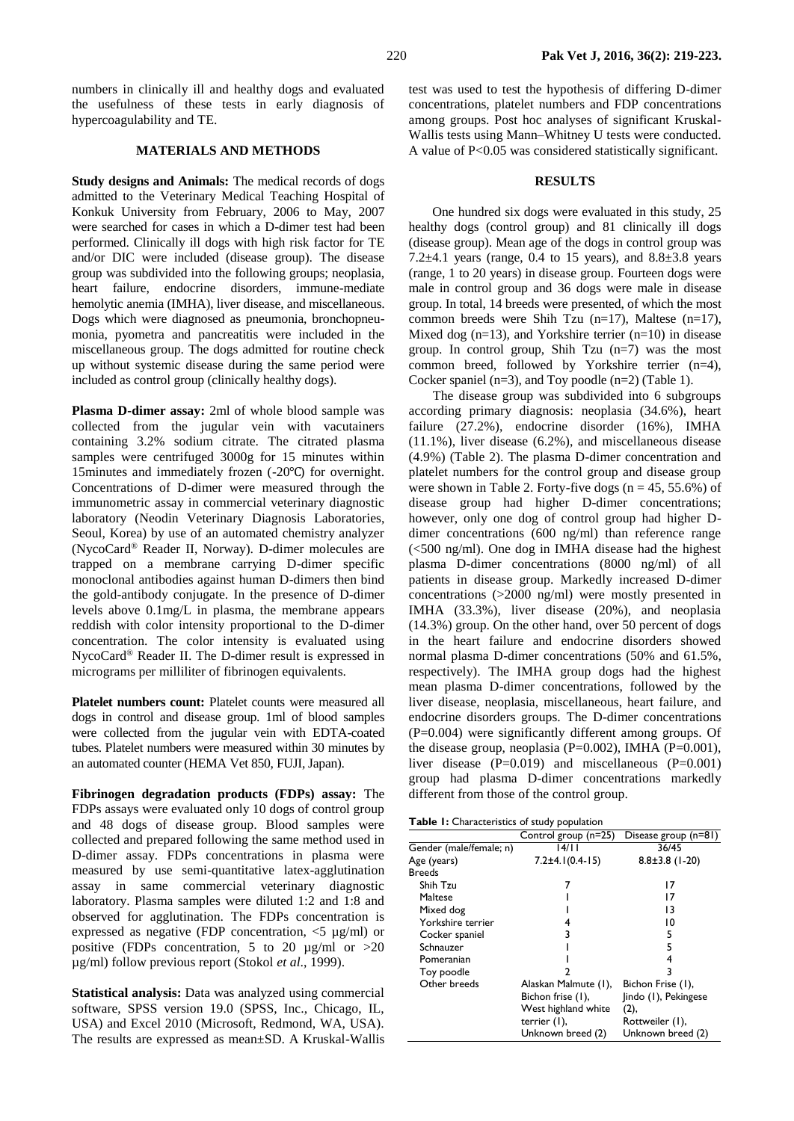numbers in clinically ill and healthy dogs and evaluated the usefulness of these tests in early diagnosis of hypercoagulability and TE.

### **MATERIALS AND METHODS**

**Study designs and Animals:** The medical records of dogs admitted to the Veterinary Medical Teaching Hospital of Konkuk University from February, 2006 to May, 2007 were searched for cases in which a D-dimer test had been performed. Clinically ill dogs with high risk factor for TE and/or DIC were included (disease group). The disease group was subdivided into the following groups; neoplasia, heart failure, endocrine disorders, immune-mediate hemolytic anemia (IMHA), liver disease, and miscellaneous. Dogs which were diagnosed as pneumonia, bronchopneumonia, pyometra and pancreatitis were included in the miscellaneous group. The dogs admitted for routine check up without systemic disease during the same period were included as control group (clinically healthy dogs).

**Plasma D-dimer assay:** 2ml of whole blood sample was collected from the jugular vein with vacutainers containing 3.2% sodium citrate. The citrated plasma samples were centrifuged 3000g for 15 minutes within 15minutes and immediately frozen (-20℃) for overnight. Concentrations of D-dimer were measured through the immunometric assay in commercial veterinary diagnostic laboratory (Neodin Veterinary Diagnosis Laboratories, Seoul, Korea) by use of an automated chemistry analyzer (NycoCard® Reader II, Norway). D-dimer molecules are trapped on a membrane carrying D-dimer specific monoclonal antibodies against human D-dimers then bind the gold-antibody conjugate. In the presence of D-dimer levels above 0.1mg/L in plasma, the membrane appears reddish with color intensity proportional to the D-dimer concentration. The color intensity is evaluated using NycoCard® Reader II. The D-dimer result is expressed in micrograms per milliliter of fibrinogen equivalents.

**Platelet numbers count:** Platelet counts were measured all dogs in control and disease group. 1ml of blood samples were collected from the jugular vein with EDTA-coated tubes. Platelet numbers were measured within 30 minutes by an automated counter (HEMA Vet 850, FUJI, Japan).

**Fibrinogen degradation products (FDPs) assay:** The FDPs assays were evaluated only 10 dogs of control group and 48 dogs of disease group. Blood samples were collected and prepared following the same method used in D-dimer assay. FDPs concentrations in plasma were measured by use semi-quantitative latex-agglutination assay in same commercial veterinary diagnostic laboratory. Plasma samples were diluted 1:2 and 1:8 and observed for agglutination. The FDPs concentration is expressed as negative (FDP concentration,  $\langle 5 \mu g/ml \rangle$  or positive (FDPs concentration, 5 to 20  $\mu$ g/ml or >20 µg/ml) follow previous report (Stokol *et al*., 1999).

**Statistical analysis:** Data was analyzed using commercial software, SPSS version 19.0 (SPSS, Inc., Chicago, IL, USA) and Excel 2010 (Microsoft, Redmond, WA, USA). The results are expressed as mean±SD. A Kruskal-Wallis

test was used to test the hypothesis of differing D-dimer concentrations, platelet numbers and FDP concentrations among groups. Post hoc analyses of significant Kruskal-Wallis tests using Mann–Whitney U tests were conducted. A value of P<0.05 was considered statistically significant.

#### **RESULTS**

One hundred six dogs were evaluated in this study, 25 healthy dogs (control group) and 81 clinically ill dogs (disease group). Mean age of the dogs in control group was 7.2 $\pm$ 4.1 years (range, 0.4 to 15 years), and 8.8 $\pm$ 3.8 years (range, 1 to 20 years) in disease group. Fourteen dogs were male in control group and 36 dogs were male in disease group. In total, 14 breeds were presented, of which the most common breeds were Shih Tzu (n=17), Maltese (n=17), Mixed dog  $(n=13)$ , and Yorkshire terrier  $(n=10)$  in disease group. In control group, Shih Tzu (n=7) was the most common breed, followed by Yorkshire terrier (n=4), Cocker spaniel (n=3), and Toy poodle (n=2) (Table 1).

The disease group was subdivided into 6 subgroups according primary diagnosis: neoplasia (34.6%), heart failure (27.2%), endocrine disorder (16%), IMHA (11.1%), liver disease (6.2%), and miscellaneous disease (4.9%) (Table 2). The plasma D-dimer concentration and platelet numbers for the control group and disease group were shown in Table 2. Forty-five dogs  $(n = 45, 55.6%)$  of disease group had higher D-dimer concentrations; however, only one dog of control group had higher Ddimer concentrations (600 ng/ml) than reference range (<500 ng/ml). One dog in IMHA disease had the highest plasma D-dimer concentrations (8000 ng/ml) of all patients in disease group. Markedly increased D-dimer concentrations (>2000 ng/ml) were mostly presented in IMHA (33.3%), liver disease (20%), and neoplasia (14.3%) group. On the other hand, over 50 percent of dogs in the heart failure and endocrine disorders showed normal plasma D-dimer concentrations (50% and 61.5%, respectively). The IMHA group dogs had the highest mean plasma D-dimer concentrations, followed by the liver disease, neoplasia, miscellaneous, heart failure, and endocrine disorders groups. The D-dimer concentrations (P=0.004) were significantly different among groups. Of the disease group, neoplasia (P=0.002), IMHA (P=0.001), liver disease (P=0.019) and miscellaneous (P=0.001) group had plasma D-dimer concentrations markedly different from those of the control group.

| <b>Table 1:</b> Characteristics of study population |  |
|-----------------------------------------------------|--|
|-----------------------------------------------------|--|

| r asic Trumateleristics or stady population. |                         |                      |  |  |  |  |  |  |
|----------------------------------------------|-------------------------|----------------------|--|--|--|--|--|--|
|                                              | Control group (n=25)    | Disease group (n=81) |  |  |  |  |  |  |
| Gender (male/female; n)                      | 14/1 I                  | 36/45                |  |  |  |  |  |  |
| Age (years)                                  | $7.2 \pm 4.1(0.4 - 15)$ | $8.8 \pm 3.8$ (1-20) |  |  |  |  |  |  |
| <b>Breeds</b>                                |                         |                      |  |  |  |  |  |  |
| Shih Tzu                                     |                         | 17                   |  |  |  |  |  |  |
| Maltese                                      |                         | 17                   |  |  |  |  |  |  |
| Mixed dog                                    |                         | 13                   |  |  |  |  |  |  |
| Yorkshire terrier                            |                         | 10                   |  |  |  |  |  |  |
| Cocker spaniel                               | 3                       | 5                    |  |  |  |  |  |  |
| Schnauzer                                    |                         | 5                    |  |  |  |  |  |  |
| Pomeranian                                   |                         | 4                    |  |  |  |  |  |  |
| Toy poodle                                   |                         |                      |  |  |  |  |  |  |
| Other breeds                                 | Alaskan Malmute (1),    | Bichon Frise (1),    |  |  |  |  |  |  |
|                                              | Bichon frise (1),       | Jindo (1), Pekingese |  |  |  |  |  |  |
|                                              | West highland white     | (2),                 |  |  |  |  |  |  |
|                                              | terrier (1),            | Rottweiler (1),      |  |  |  |  |  |  |
|                                              | Unknown breed (2)       | Unknown breed (2)    |  |  |  |  |  |  |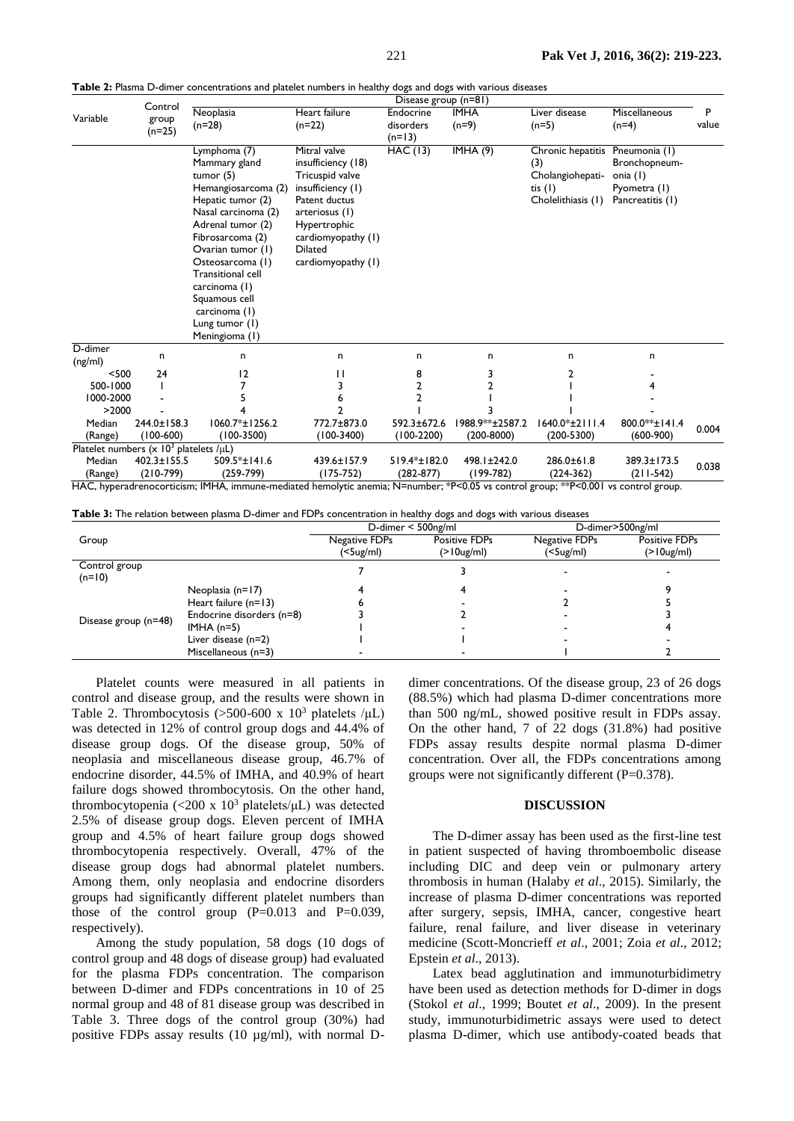| Control<br>Neoplasia<br>Heart failure<br><b>IMHA</b><br>Liver disease<br>Miscellaneous<br>Endocrine<br>Variable<br>group<br>$(n=22)$<br>$(n=28)$<br>disorders<br>$(n=9)$<br>$(n=5)$<br>$(n=4)$<br>$(n=25)$<br>$(n=13)$<br><b>HAC</b> (13)<br>IMHA(9)<br>Mitral valve<br>Lymphoma (7)<br>Chronic hepatitis Pneumonia (1)<br>insufficiency (18)<br>Bronchopneum-<br>Mammary gland<br>(3)<br>Tricuspid valve<br>Cholangiohepati-<br>tumor $(5)$<br>onia (1)<br>Hemangiosarcoma (2)<br>insufficiency (1)<br>tis $(1)$<br>Pyometra (1)<br>Cholelithiasis (1)<br>Patent ductus<br>Hepatic tumor (2)<br>Pancreatitis (1)<br>Nasal carcinoma (2)<br>arteriosus (1)<br>Adrenal tumor (2)<br>Hypertrophic<br>Fibrosarcoma (2)<br>cardiomyopathy (1)<br>Ovarian tumor (1)<br><b>Dilated</b><br>Osteosarcoma (1)<br>cardiomyopathy (1)<br><b>Transitional cell</b><br>carcinoma (1)<br>Squamous cell<br>carcinoma (1)<br>Lung tumor (I)<br>Meningioma (1) |            |
|-----------------------------------------------------------------------------------------------------------------------------------------------------------------------------------------------------------------------------------------------------------------------------------------------------------------------------------------------------------------------------------------------------------------------------------------------------------------------------------------------------------------------------------------------------------------------------------------------------------------------------------------------------------------------------------------------------------------------------------------------------------------------------------------------------------------------------------------------------------------------------------------------------------------------------------------------|------------|
|                                                                                                                                                                                                                                                                                                                                                                                                                                                                                                                                                                                                                                                                                                                                                                                                                                                                                                                                               | P<br>value |
|                                                                                                                                                                                                                                                                                                                                                                                                                                                                                                                                                                                                                                                                                                                                                                                                                                                                                                                                               |            |
| D-dimer<br>n<br>n<br>n<br>n<br>n<br>n<br>n<br>(ng/ml)                                                                                                                                                                                                                                                                                                                                                                                                                                                                                                                                                                                                                                                                                                                                                                                                                                                                                         |            |
| 12<br>$<$ 500<br>24<br>8<br>3<br>Н<br>2                                                                                                                                                                                                                                                                                                                                                                                                                                                                                                                                                                                                                                                                                                                                                                                                                                                                                                       |            |
| $\overline{2}$<br>2<br>500-1000                                                                                                                                                                                                                                                                                                                                                                                                                                                                                                                                                                                                                                                                                                                                                                                                                                                                                                               |            |
| 1000-2000<br>2<br>6                                                                                                                                                                                                                                                                                                                                                                                                                                                                                                                                                                                                                                                                                                                                                                                                                                                                                                                           |            |
| >2000<br>2                                                                                                                                                                                                                                                                                                                                                                                                                                                                                                                                                                                                                                                                                                                                                                                                                                                                                                                                    |            |
| 772.7±873.0<br>800.0**±141.4<br>244.0±158.3<br>$1060.7* \pm 1256.2$<br>592.3±672.6<br>1988.9**±2587.2<br>$1640.0*+2111.4$<br>Median<br>$(600-900)$<br>$(100-600)$<br>$(100-3500)$<br>$(100-3400)$<br>$(100-2200)$<br>$(200-8000)$<br>$(200 - 5300)$<br>(Range)                                                                                                                                                                                                                                                                                                                                                                                                                                                                                                                                                                                                                                                                                | 0.004      |
| Platelet numbers $(x \ 10^3 \text{ platelets } / \mu L)$                                                                                                                                                                                                                                                                                                                                                                                                                                                                                                                                                                                                                                                                                                                                                                                                                                                                                      |            |
| $402.3 \pm 155.5$<br>509.5*±141.6<br>439.6±157.9<br>519.4*±182.0<br>498.1±242.0<br>286.0±61.8<br>389.3±173.5<br>Median<br>$(210-799)$<br>$(259-799)$<br>(175-752)<br>$(282 - 877)$<br>$(199-782)$<br>$(211-542)$<br>$(224-362)$<br>(Range)<br>HAC, hyperadrenocorticism; IMHA, immune-mediated hemolytic anemia; N=number; *P<0.05 vs control group; **P<0.001 vs control group.                                                                                                                                                                                                                                                                                                                                                                                                                                                                                                                                                              | 0.038      |

**Table 2:** Plasma D-dimer concentrations and platelet numbers in healthy dogs and dogs with various diseases

**Table 3:** The relation between plasma D-dimer and FDPs concentration in healthy dogs and dogs with various diseases

|                           |                           | - 00-<br>D-dimer $<$ 500ng/ml       |                                       | D-dimer>500ng/ml           |                                       |
|---------------------------|---------------------------|-------------------------------------|---------------------------------------|----------------------------|---------------------------------------|
| Group                     |                           | Negative FDPs<br>$(5 \text{ug/ml})$ | <b>Positive FDPs</b><br>$(>10$ ug/ml) | Negative FDPs<br>(<5ug/ml) | <b>Positive FDPs</b><br>$(>10$ ug/ml) |
| Control group<br>$(n=10)$ |                           |                                     |                                       |                            |                                       |
| Disease group (n=48)      | Neoplasia (n=17)          |                                     |                                       |                            |                                       |
|                           | Heart failure $(n=13)$    |                                     |                                       |                            |                                       |
|                           | Endocrine disorders (n=8) |                                     |                                       |                            |                                       |
|                           | IMHA $(n=5)$              |                                     |                                       |                            |                                       |
|                           | Liver disease (n=2)       |                                     |                                       |                            |                                       |
|                           | Miscellaneous (n=3)       |                                     |                                       |                            |                                       |

Platelet counts were measured in all patients in control and disease group, and the results were shown in Table 2. Thrombocytosis (>500-600 x  $10^3$  platelets / $\mu$ L) was detected in 12% of control group dogs and 44.4% of disease group dogs. Of the disease group, 50% of neoplasia and miscellaneous disease group, 46.7% of endocrine disorder, 44.5% of IMHA, and 40.9% of heart failure dogs showed thrombocytosis. On the other hand, thrombocytopenia (<200 x 10<sup>3</sup> platelets/μL) was detected 2.5% of disease group dogs. Eleven percent of IMHA group and 4.5% of heart failure group dogs showed thrombocytopenia respectively. Overall, 47% of the disease group dogs had abnormal platelet numbers. Among them, only neoplasia and endocrine disorders groups had significantly different platelet numbers than those of the control group  $(P=0.013$  and  $P=0.039$ , respectively).

Among the study population, 58 dogs (10 dogs of control group and 48 dogs of disease group) had evaluated for the plasma FDPs concentration. The comparison between D-dimer and FDPs concentrations in 10 of 25 normal group and 48 of 81 disease group was described in Table 3. Three dogs of the control group (30%) had positive FDPs assay results (10 µg/ml), with normal D-

dimer concentrations. Of the disease group, 23 of 26 dogs (88.5%) which had plasma D-dimer concentrations more than 500 ng/mL, showed positive result in FDPs assay. On the other hand, 7 of 22 dogs (31.8%) had positive FDPs assay results despite normal plasma D-dimer concentration. Over all, the FDPs concentrations among groups were not significantly different (P=0.378).

#### **DISCUSSION**

The D-dimer assay has been used as the first-line test in patient suspected of having thromboembolic disease including DIC and deep vein or pulmonary artery thrombosis in human (Halaby *et al*., 2015). Similarly, the increase of plasma D-dimer concentrations was reported after surgery, sepsis, IMHA, cancer, congestive heart failure, renal failure, and liver disease in veterinary medicine (Scott-Moncrieff *et al*., 2001; Zoia *et al*., 2012; Epstein *et al*., 2013).

Latex bead agglutination and immunoturbidimetry have been used as detection methods for D-dimer in dogs (Stokol *et al*., 1999; Boutet *et al*., 2009). In the present study, immunoturbidimetric assays were used to detect plasma D-dimer, which use antibody-coated beads that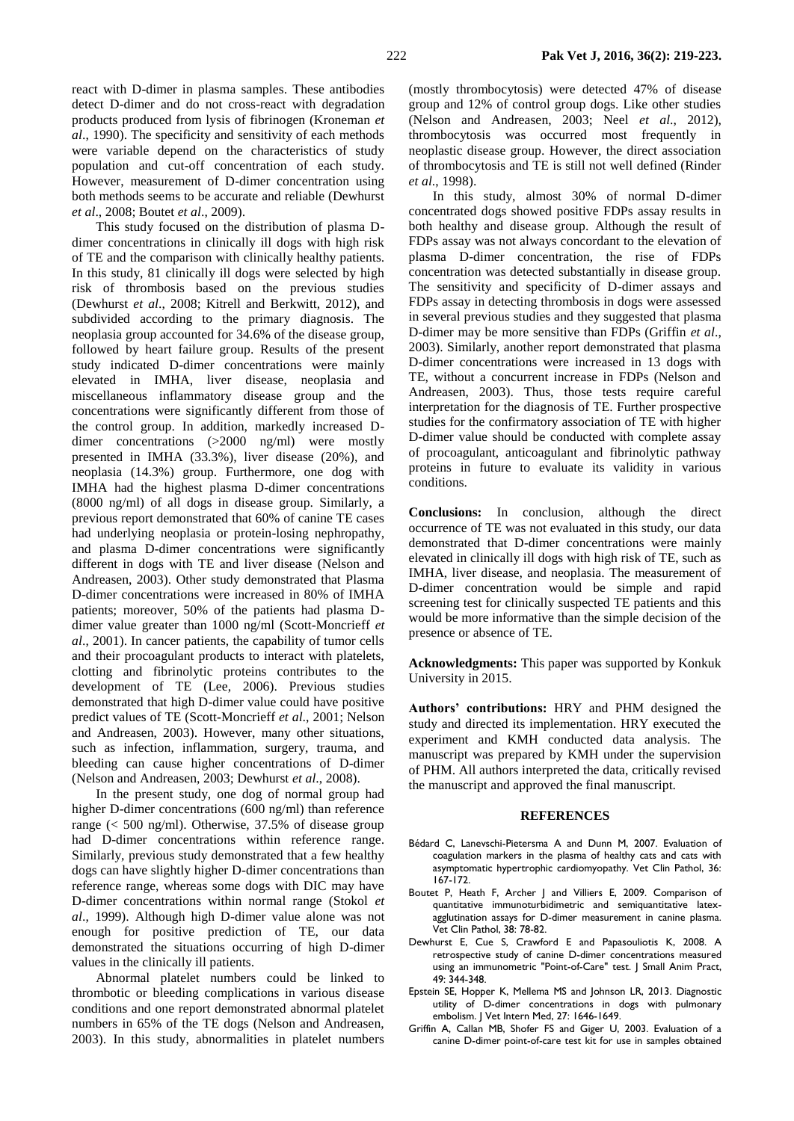react with D-dimer in plasma samples. These antibodies detect D-dimer and do not cross-react with degradation products produced from lysis of fibrinogen (Kroneman *et al*., 1990). The specificity and sensitivity of each methods were variable depend on the characteristics of study population and cut-off concentration of each study. However, measurement of D-dimer concentration using both methods seems to be accurate and reliable (Dewhurst *et al*., 2008; Boutet *et al*., 2009).

This study focused on the distribution of plasma Ddimer concentrations in clinically ill dogs with high risk of TE and the comparison with clinically healthy patients. In this study, 81 clinically ill dogs were selected by high risk of thrombosis based on the previous studies (Dewhurst *et al*., 2008; Kitrell and Berkwitt, 2012), and subdivided according to the primary diagnosis. The neoplasia group accounted for 34.6% of the disease group, followed by heart failure group. Results of the present study indicated D-dimer concentrations were mainly elevated in IMHA, liver disease, neoplasia and miscellaneous inflammatory disease group and the concentrations were significantly different from those of the control group. In addition, markedly increased Ddimer concentrations (>2000 ng/ml) were mostly presented in IMHA (33.3%), liver disease (20%), and neoplasia (14.3%) group. Furthermore, one dog with IMHA had the highest plasma D-dimer concentrations (8000 ng/ml) of all dogs in disease group. Similarly, a previous report demonstrated that 60% of canine TE cases had underlying neoplasia or protein-losing nephropathy, and plasma D-dimer concentrations were significantly different in dogs with TE and liver disease (Nelson and Andreasen, 2003). Other study demonstrated that Plasma D-dimer concentrations were increased in 80% of IMHA patients; moreover, 50% of the patients had plasma Ddimer value greater than 1000 ng/ml (Scott-Moncrieff *et al*., 2001). In cancer patients, the capability of tumor cells and their procoagulant products to interact with platelets, clotting and fibrinolytic proteins contributes to the development of TE (Lee, 2006). Previous studies demonstrated that high D-dimer value could have positive predict values of TE (Scott-Moncrieff *et al*., 2001; Nelson and Andreasen, 2003). However, many other situations, such as infection, inflammation, surgery, trauma, and bleeding can cause higher concentrations of D-dimer (Nelson and Andreasen, 2003; Dewhurst *et al*., 2008).

In the present study, one dog of normal group had higher D-dimer concentrations (600 ng/ml) than reference range (< 500 ng/ml). Otherwise, 37.5% of disease group had D-dimer concentrations within reference range. Similarly, previous study demonstrated that a few healthy dogs can have slightly higher D-dimer concentrations than reference range, whereas some dogs with DIC may have D-dimer concentrations within normal range (Stokol *et al*., 1999). Although high D-dimer value alone was not enough for positive prediction of TE, our data demonstrated the situations occurring of high D-dimer values in the clinically ill patients.

Abnormal platelet numbers could be linked to thrombotic or bleeding complications in various disease conditions and one report demonstrated abnormal platelet numbers in 65% of the TE dogs (Nelson and Andreasen, 2003). In this study, abnormalities in platelet numbers

(mostly thrombocytosis) were detected 47% of disease group and 12% of control group dogs. Like other studies (Nelson and Andreasen, 2003; Neel *et al*., 2012), thrombocytosis was occurred most frequently in neoplastic disease group. However, the direct association of thrombocytosis and TE is still not well defined (Rinder *et al*., 1998).

In this study, almost 30% of normal D-dimer concentrated dogs showed positive FDPs assay results in both healthy and disease group. Although the result of FDPs assay was not always concordant to the elevation of plasma D-dimer concentration, the rise of FDPs concentration was detected substantially in disease group. The sensitivity and specificity of D-dimer assays and FDPs assay in detecting thrombosis in dogs were assessed in several previous studies and they suggested that plasma D-dimer may be more sensitive than FDPs (Griffin *et al*., 2003). Similarly, another report demonstrated that plasma D-dimer concentrations were increased in 13 dogs with TE, without a concurrent increase in FDPs (Nelson and Andreasen, 2003). Thus, those tests require careful interpretation for the diagnosis of TE. Further prospective studies for the confirmatory association of TE with higher D-dimer value should be conducted with complete assay of procoagulant, anticoagulant and fibrinolytic pathway proteins in future to evaluate its validity in various conditions.

**Conclusions:** In conclusion, although the direct occurrence of TE was not evaluated in this study, our data demonstrated that D-dimer concentrations were mainly elevated in clinically ill dogs with high risk of TE, such as IMHA, liver disease, and neoplasia. The measurement of D-dimer concentration would be simple and rapid screening test for clinically suspected TE patients and this would be more informative than the simple decision of the presence or absence of TE.

**Acknowledgments:** This paper was supported by Konkuk University in 2015.

**Authors' contributions:** HRY and PHM designed the study and directed its implementation. HRY executed the experiment and KMH conducted data analysis. The manuscript was prepared by KMH under the supervision of PHM. All authors interpreted the data, critically revised the manuscript and approved the final manuscript.

#### **REFERENCES**

- Bédard C, Lanevschi-Pietersma A and Dunn M, 2007. Evaluation of coagulation markers in the plasma of healthy cats and cats with asymptomatic hypertrophic cardiomyopathy. Vet Clin Pathol, 36: 167-172.
- Boutet P, Heath F, Archer J and Villiers E, 2009. Comparison of quantitative immunoturbidimetric and semiquantitative latexagglutination assays for D-dimer measurement in canine plasma. Vet Clin Pathol, 38: 78-82.
- Dewhurst E, Cue S, Crawford E and Papasouliotis K, 2008. A retrospective study of canine D-dimer concentrations measured using an immunometric "Point-of-Care" test. J Small Anim Pract, 49: 344-348.
- Epstein SE, Hopper K, Mellema MS and Johnson LR, 2013. Diagnostic utility of D-dimer concentrations in dogs with pulmonary embolism. J Vet Intern Med, 27: 1646-1649.
- Griffin A, Callan MB, Shofer FS and Giger U, 2003. Evaluation of a canine D-dimer point-of-care test kit for use in samples obtained